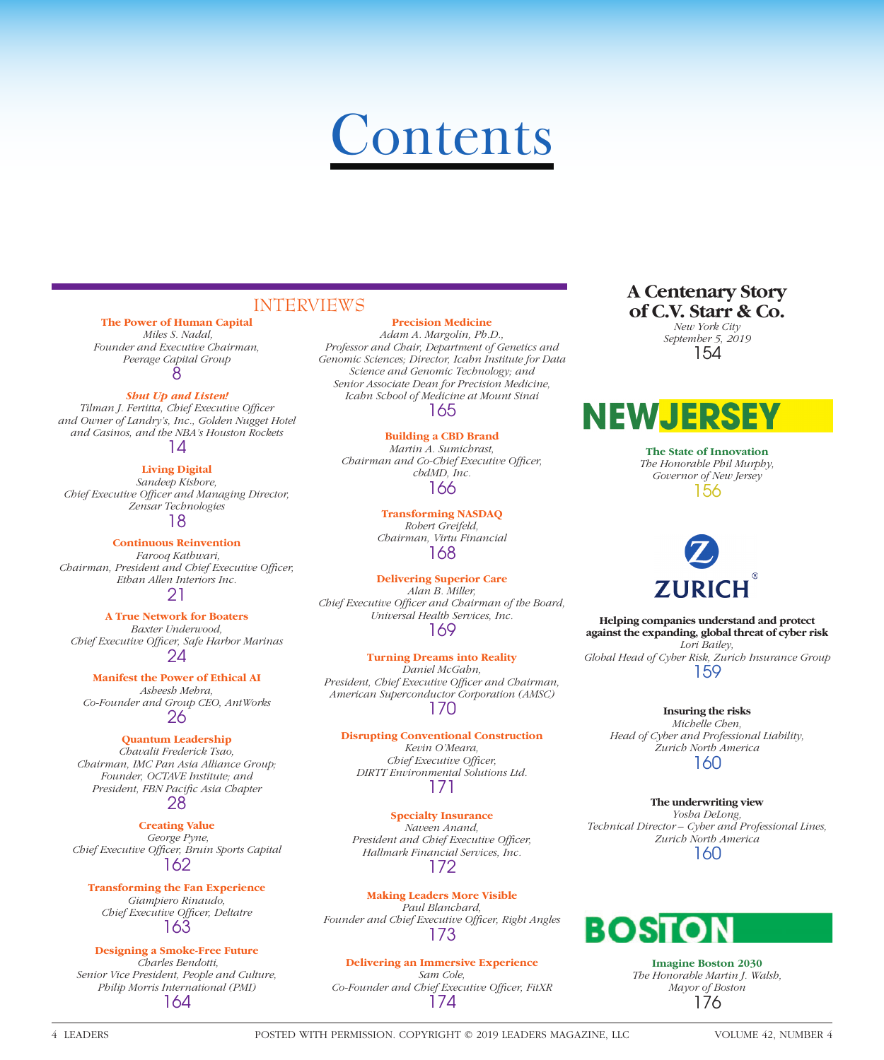# **Contents**

# INTERVIEWS

### **The Power of Human Capital**

 *Miles S. Nadal, Founder and Executive Chairman, Peerage Capital Group* 8

#### *Shut Up and Listen!*

**Tilman J. Fertitta, Chief Executive Officer** *and Owner of Landry's, Inc., Golden Nugget Hotel and Casinos, and the NBA's Houston Rockets* 14

**Living Digital** *Sandeep Kishore,*  Chief Executive Officer and Managing Director, *Zensar Technologies* 18

#### **Continuous Reinvention**

 *Farooq Kathwari, Chairman, President and Chief Executive Officer, Ethan Allen Interiors Inc.* 21

**A True Network for Boaters** *Baxter Underwood, Chief Executive Offi cer, Safe Harbor Marinas* 24

#### **Manifest the Power of Ethical AI**

*Asheesh Mehra, Co-Founder and Group CEO, AntWorks* 26

#### **Quantum Leadership**

*Chavalit Frederick Tsao, Chairman, IMC Pan Asia Alliance Group; Founder, OCTAVE Institute; and*  President, FBN Pacific Asia Chapter 28

# **Creating Value**

 *George Pyne, Chief Executive Offi cer, Bruin Sports Capital* 162

**Transforming the Fan Experience** *Giampiero Rinaudo, Chief Executive Officer, Deltatre* 163

#### **Designing a Smoke-Free Future**  *Charles Bendotti, Senior Vice President, People and Culture, Philip Morris International (PMI)* 164

#### **Precision Medicine**

*Adam A. Margolin, Ph.D., Professor and Chair, Department of Genetics and Genomic Sciences; Director, Icahn Institute for Data Science and Genomic Technology; and Senior Associate Dean for Precision Medicine, Icahn School of Medicine at Mount Sinai* 165

### **Building a CBD Brand**

*Martin A. Sumichrast, Chairman and Co-Chief Executive Officer, cbdMD, Inc.* 166

> **Transforming NASDAQ** *Robert Greifeld, Chairman, Virtu Financial* 168

**Delivering Superior Care** *Alan B. Miller,*  Chief Executive Officer and Chairman of the Board, *Universal Health Services, Inc.* 169

#### **Turning Dreams into Reality**

*Daniel McGahn,*  President, Chief Executive Officer and Chairman, *American Superconductor Corporation (AMSC)* 170

#### **Disrupting Conventional Construction**

*Kevin O'Meara, Chief Executive Officer, DIRTT Environmental Solutions Ltd.* 171

# **Specialty Insurance** *Naveen Anand,*

*President and Chief Executive Officer, Hallmark Financial Services, Inc.* 172

#### **Making Leaders More Visible**

*Paul Blanchard,*  Founder and Chief Executive Officer, Right Angles 173

#### **Delivering an Immersive Experience**

*Sam Cole,*  Co-Founder and Chief Executive Officer, FitXR 174

# **A Centenary Story of C.V. Starr & Co.**

*New York City September 5, 2019* 154

# **NEWJERS**

**The State of Innovation** *The Honorable Phil Murphy, Governor of New Jersey* 156

# **ZURICH**

**Helping companies understand and protect against the expanding, global threat of cyber risk** *Lori Bailey, Global Head of Cyber Risk, Zurich Insurance Group* 159

#### **Insuring the risks**

*Michelle Chen, Head of Cyber and Professional Liability, Zurich North America* 160

#### **The underwriting view**

*Yosha DeLong, Technical Director – Cyber and Professional Lines, Zurich North America* 160



**Imagine Boston 2030** *The Honorable Martin J. Walsh, Mayor of Boston* 176